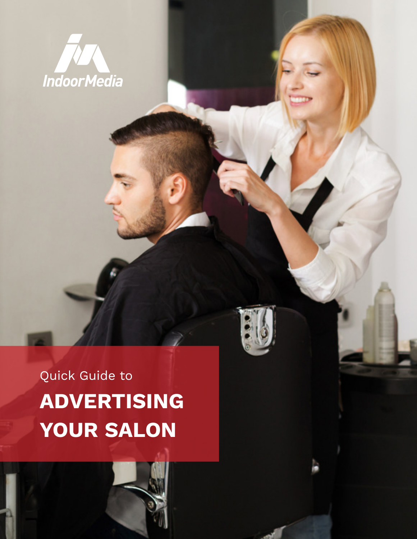

# Quick Guide to **ADVERTISING YOUR SALON**

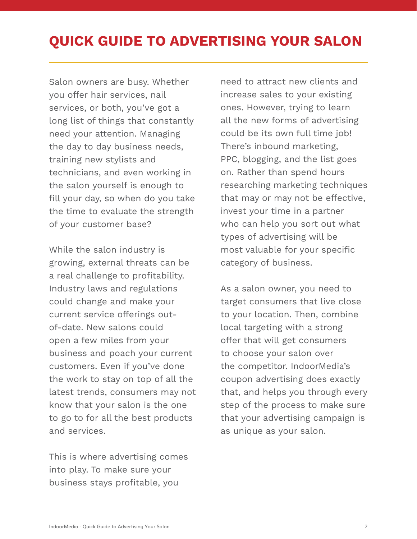## **QUICK GUIDE TO ADVERTISING YOUR SALON**

Salon owners are busy. Whether you offer hair services, nail services, or both, you've got a long list of things that constantly need your attention. Managing the day to day business needs, training new stylists and technicians, and even working in the salon yourself is enough to fill your day, so when do you take the time to evaluate the strength of your customer base?

While the salon industry is growing, external threats can be a real challenge to profitability. Industry laws and regulations could change and make your current service offerings outof-date. New salons could open a few miles from your business and poach your current customers. Even if you've done the work to stay on top of all the latest trends, consumers may not know that your salon is the one to go to for all the best products and services.

This is where advertising comes into play. To make sure your business stays profitable, you

need to attract new clients and increase sales to your existing ones. However, trying to learn all the new forms of advertising could be its own full time job! There's inbound marketing, PPC, blogging, and the list goes on. Rather than spend hours researching marketing techniques that may or may not be effective, invest your time in a partner who can help you sort out what types of advertising will be most valuable for your specific category of business.

As a salon owner, you need to target consumers that live close to your location. Then, combine local targeting with a strong offer that will get consumers to choose your salon over the competitor. IndoorMedia's coupon advertising does exactly that, and helps you through every step of the process to make sure that your advertising campaign is as unique as your salon.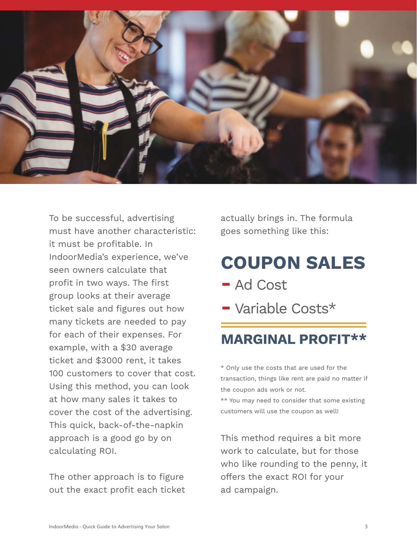

To be successful, advertising must have another characteristic: it must be profitable. In IndoorMedia's experience, we've seen owners calculate that profit in two ways. The first group looks at their average ticket sale and figures out how many tickets are needed to pay for each of their expenses. For example, with a \$30 average ticket and \$3000 rent, it takes 100 customers to cover that cost. Using this method, you can look at how many sales it takes to cover the cost of the advertising. This quick, back-of-the-napkin approach is a good go by on calculating ROI.

The other approach is to figure out the exact profit each ticket actually brings in. The formula goes something like this:

# **COUPON SALES**

- **-** Ad Cost
- **-** Variable Costs\*

### **MARGINAL PROFIT\*\***

\* Only use the costs that are used for the transaction, things like rent are paid no matter if the coupon ads work or not.

\*\* You may need to consider that some existing customers will use the coupon as well!

This method requires a bit more work to calculate, but for those who like rounding to the penny, it offers the exact ROI for your ad campaign.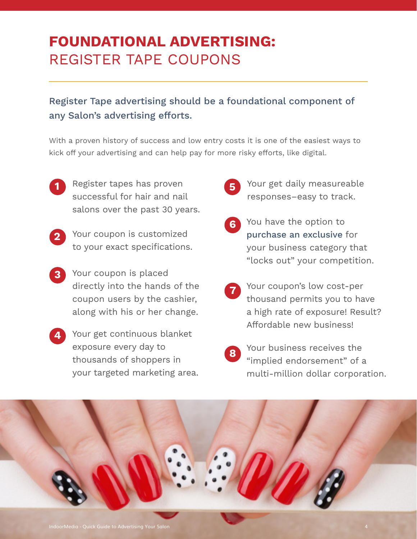## **FOUNDATIONAL ADVERTISING:**  REGISTER TAPE COUPONS

### Register Tape advertising should be a foundational component of any Salon's advertising efforts.

With a proven history of success and low entry costs it is one of the easiest ways to kick off your advertising and can help pay for more risky efforts, like digital.

- Register tapes has proven successful for hair and nail salons over the past 30 years. **1**
- Your coupon is customized to your exact specifications. **2**
- Your coupon is placed directly into the hands of the coupon users by the cashier, along with his or her change. **3**
- Your get continuous blanket **4** exposure every day to thousands of shoppers in your targeted marketing area.
- Your get daily measureable responses–easy to track. **5**
- You have the option to purchase an exclusive for your business category that "locks out" your competition. **6**
	- Your coupon's low cost-per thousand permits you to have a high rate of exposure! Result? Affordable new business! **7**
- Your business receives the "implied endorsement" of a multi-million dollar corporation. **8**

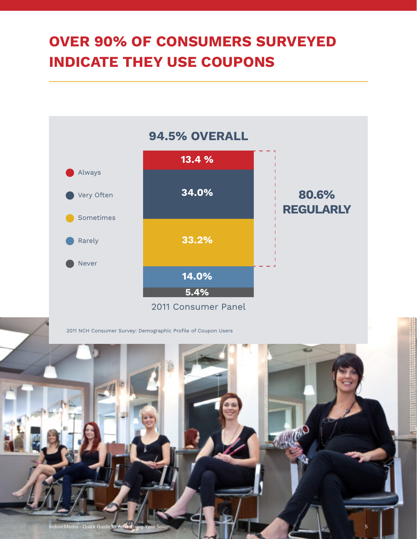## **OVER 90% OF CONSUMERS SURVEYED INDICATE THEY USE COUPONS**



ndoorMedia - Quick Guide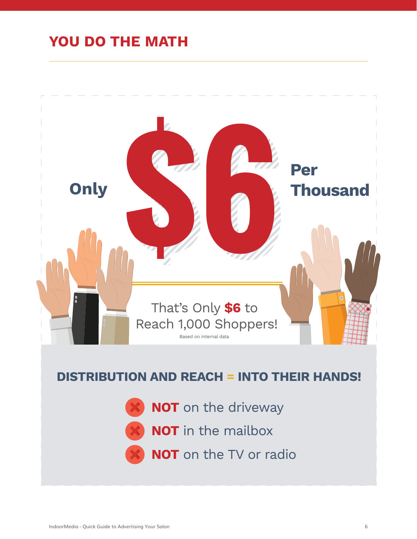## **YOU DO THE MATH**



### **DISTRIBUTION AND REACH = INTO THEIR HANDS!**

- **NOT** on the driveway
- **NOT** in the mailbox
- **NOT** on the TV or radio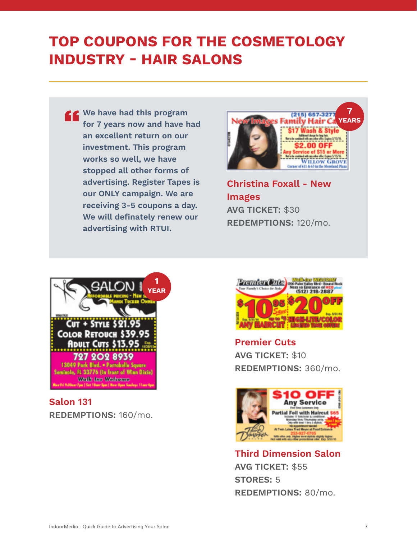## **TOP COUPONS FOR THE COSMETOLOGY INDUSTRY - HAIR SALONS**

**We have had this program for 7 years now and have had an excellent return on our investment. This program works so well, we have stopped all other forms of advertising. Register Tapes is our ONLY campaign. We are receiving 3-5 coupons a day. We will definately renew our advertising with RTUI.**



**Christina Foxall - New Images AVG TICKET:** \$30 **REDEMPTIONS:** 120/mo.



**Salon 131 REDEMPTIONS:** 160/mo.



**Premier Cuts AVG TICKET:** \$10 **REDEMPTIONS:** 360/mo.



**Third Dimension Salon AVG TICKET:** \$55 **STORES:** 5 **REDEMPTIONS:** 80/mo.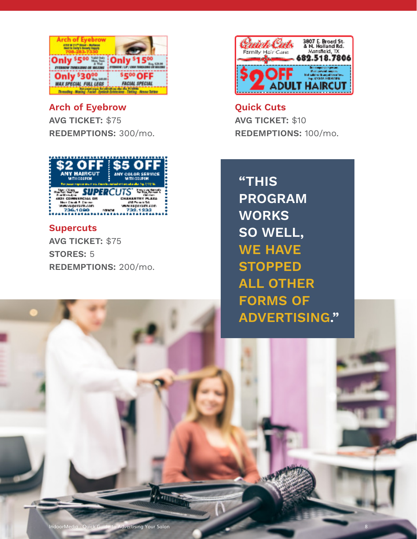

**Arch of Eyebrow AVG TICKET:** \$75 **REDEMPTIONS:** 300/mo.



#### **Supercuts**

**AVG TICKET:** \$75 **STORES:** 5 **REDEMPTIONS:** 200/mo.



**Quick Cuts AVG TICKET:** \$10 **REDEMPTIONS:** 100/mo.

**"THIS PROGRAM WORKS SO WELL, WE HAVE STOPPED ALL OTHER FORMS OF ADVERTISING."**

IndoorMedia - Quick Guide to Advertising Your Salon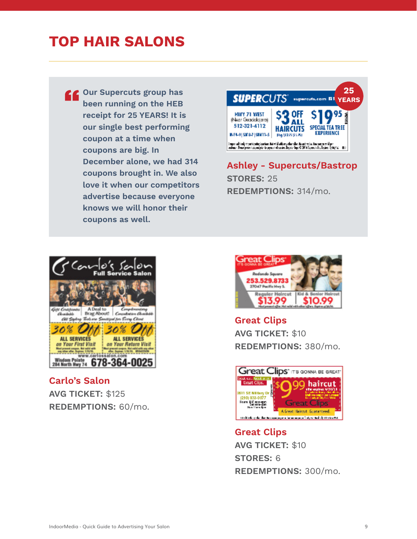## **TOP HAIR SALONS**

**Our Supercuts group has been running on the HEB receipt for 25 YEARS! It is our single best performing coupon at a time when coupons are big. In December alone, we had 314 coupons brought in. We also love it when our competitors advertise because everyone knows we will honor their coupons as well.**



**Ashley - Supercuts/Bastrop STORES:** 25 **REDEMPTIONS:** 314/mo.



**Carlo's Salon AVG TICKET:** \$125 **REDEMPTIONS:** 60/mo.



**Great Clips AVG TICKET:** \$10 **REDEMPTIONS:** 380/mo.



**Great Clips AVG TICKET:** \$10 **STORES:** 6 **REDEMPTIONS:** 300/mo.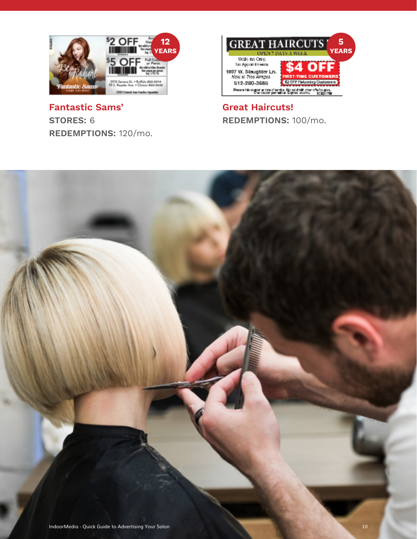

**Fantastic Sams' STORES:** 6 **REDEMPTIONS:** 120/mo.



#### **Great Haircuts! REDEMPTIONS:** 100/mo.

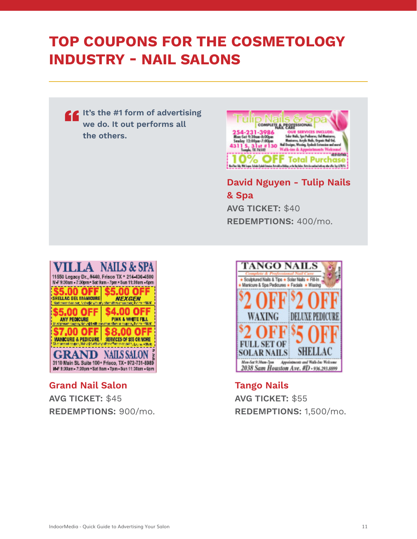## **TOP COUPONS FOR THE COSMETOLOGY INDUSTRY - NAIL SALONS**

**It's the #1 form of advertising we do. It out performs all the others.**



**David Nguyen - Tulip Nails & Spa AVG TICKET:** \$40 **REDEMPTIONS:** 400/mo.



**Grand Nail Salon AVG TICKET:** \$45 **REDEMPTIONS:** 900/mo.



**Tango Nails AVG TICKET:** \$55 **REDEMPTIONS:** 1,500/mo.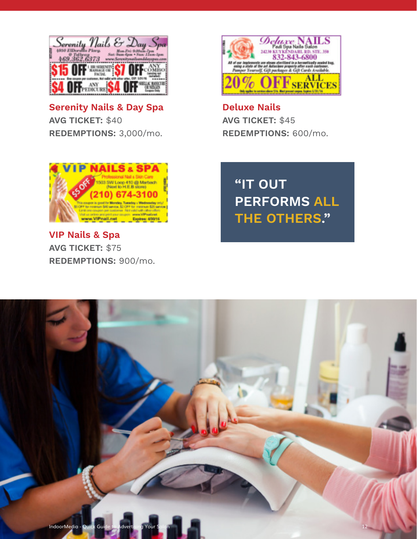

**Serenity Nails & Day Spa AVG TICKET:** \$40 **REDEMPTIONS:** 3,000/mo.



**Deluxe Nails AVG TICKET:** \$45 **REDEMPTIONS:** 600/mo.





**VIP Nails & Spa AVG TICKET:** \$75 **REDEMPTIONS:** 900/mo.